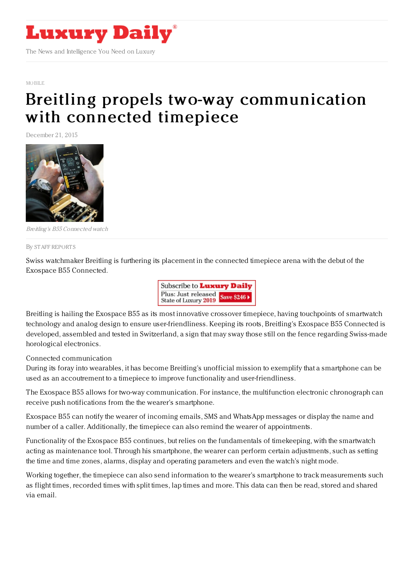

## [MOBILE](https://www.luxurydaily.com/category/news/mobile-news/)

## Breitling propels two-way [communication](https://www.luxurydaily.com/breitling-propels-two-way-communication-with-connected-timepiece/) with connected timepiece

December 21, 2015



Breitling's B55 Connected watch

## By STAFF [REPORT](file:///author/staff-reports) S

Swiss watchmaker Breitling is furthering its placement in the connected timepiece arena with the debut of the Exospace B55 Connected.



Breitling is hailing the Exospace B55 as its most innovative crossover timepiece, having touchpoints of smartwatch technology and analog design to ensure user-friendliness. Keeping its roots, Breitling's Exospace B55 Connected is developed, assembled and tested in Switzerland, a sign that may sway those still on the fence regarding Swiss-made horological electronics.

Connected communication

During its foray into wearables, it has become Breitling's unofficial mission to exemplify that a smartphone can be used as an accoutrement to a timepiece to improve functionality and user-friendliness.

The Exospace B55 allows for two-way communication. For instance, the multifunction electronic chronograph can receive push notifications from the the wearer's smartphone.

Exospace B55 can notify the wearer of incoming emails, SMS and WhatsApp messages or display the name and number of a caller. Additionally, the timepiece can also remind the wearer of appointments.

Functionality of the Exospace B55 continues, but relies on the fundamentals of timekeeping, with the smartwatch acting as maintenance tool. Through his smartphone, the wearer can perform certain adjustments, such as setting the time and time zones, alarms, display and operating parameters and even the watch's night mode.

Working together, the timepiece can also send information to the wearer's smartphone to track measurements such as flight times, recorded times with split times, lap times and more. This data can then be read, stored and shared via email.